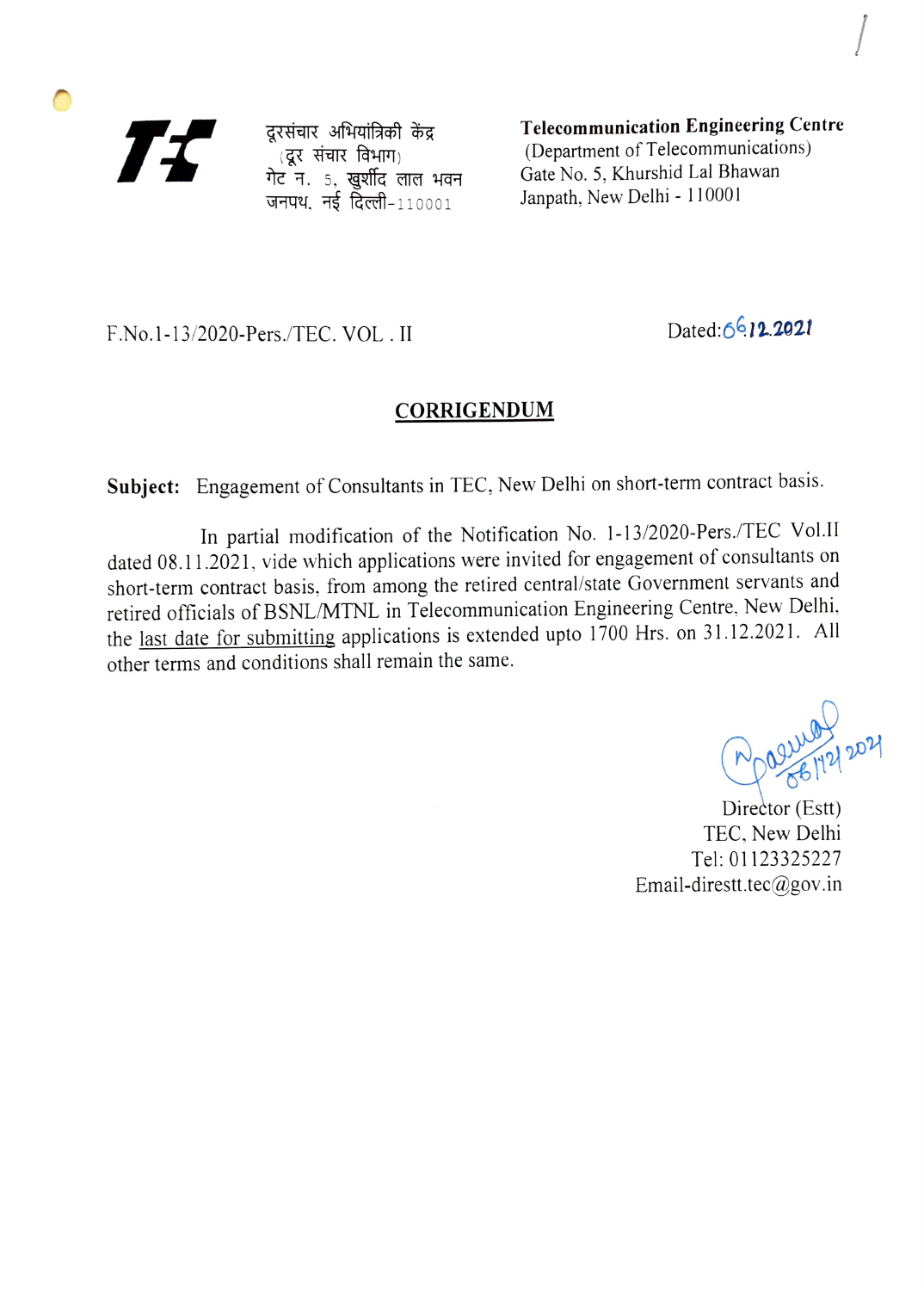77

दूरसंचार अभियांत्रिकी केंद्र ादूर संचार विभाग)<br>गेट न. 5. खुर्शीद लाल भवन जनपथ, नई दिल्ली- $110001$ 

Telecommunication Engineering Centre (Department of Telecommunications) Gate No. 5, Khurshid Lal Bhawan Janpath, New Delhi - 110001

F.No.1-13/2020-Pers./TEC. VOL. II Dated:6 12.2021

## **CORRIGENDUM**

Subject: Engagement of Consultants in TEC, New Delhi on short-term contract basis.

In partial modification of the Notification No. 1-13/2020-Pers./TEC Vol.II dated 08.11.2021, vide which applications were invited for engagement of consultants on short-term contract basis, from among the retired central/state Government servants and retired officials of BSNL/MTNL in Telecommunication Engineering Centre, New Delhi, the last date for submitting applications is extended upto 1700 Hrs. on 31.12.2021. All other terms and conditions shall remain the same.

 $D_{20}$  any  $D_{20}$ 

Director (Estt) TEC. New Delhi Tel: 01123325227 Email-direstt.tec@gov.in